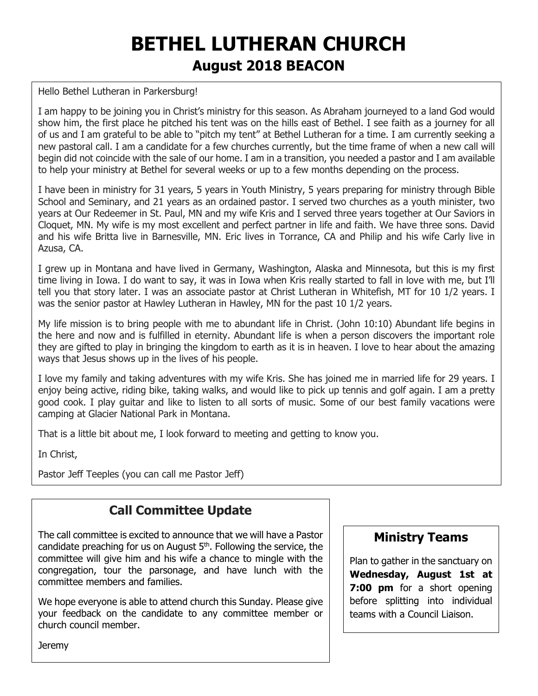# **BETHEL LUTHERAN CHURCH August 2018 BEACON**

#### Hello Bethel Lutheran in Parkersburg!

I am happy to be joining you in Christ's ministry for this season. As Abraham journeyed to a land God would show him, the first place he pitched his tent was on the hills east of Bethel. I see faith as a journey for all of us and I am grateful to be able to "pitch my tent" at Bethel Lutheran for a time. I am currently seeking a new pastoral call. I am a candidate for a few churches currently, but the time frame of when a new call will begin did not coincide with the sale of our home. I am in a transition, you needed a pastor and I am available to help your ministry at Bethel for several weeks or up to a few months depending on the process.

I have been in ministry for 31 years, 5 years in Youth Ministry, 5 years preparing for ministry through Bible School and Seminary, and 21 years as an ordained pastor. I served two churches as a youth minister, two years at Our Redeemer in St. Paul, MN and my wife Kris and I served three years together at Our Saviors in Cloquet, MN. My wife is my most excellent and perfect partner in life and faith. We have three sons. David and his wife Britta live in Barnesville, MN. Eric lives in Torrance, CA and Philip and his wife Carly live in Azusa, CA.

I grew up in Montana and have lived in Germany, Washington, Alaska and Minnesota, but this is my first time living in Iowa. I do want to say, it was in Iowa when Kris really started to fall in love with me, but I'll tell you that story later. I was an associate pastor at Christ Lutheran in Whitefish, MT for 10 1/2 years. I was the senior pastor at Hawley Lutheran in Hawley, MN for the past 10 1/2 years.

My life mission is to bring people with me to abundant life in Christ. (John 10:10) Abundant life begins in the here and now and is fulfilled in eternity. Abundant life is when a person discovers the important role they are gifted to play in bringing the kingdom to earth as it is in heaven. I love to hear about the amazing ways that Jesus shows up in the lives of his people.

I love my family and taking adventures with my wife Kris. She has joined me in married life for 29 years. I enjoy being active, riding bike, taking walks, and would like to pick up tennis and golf again. I am a pretty good cook. I play guitar and like to listen to all sorts of music. Some of our best family vacations were camping at Glacier National Park in Montana.

That is a little bit about me, I look forward to meeting and getting to know you.

In Christ,

Pastor Jeff Teeples (you can call me Pastor Jeff)

# **Call Committee Update**

The call committee is excited to announce that we will have a Pastor candidate preaching for us on August 5th. Following the service, the committee will give him and his wife a chance to mingle with the congregation, tour the parsonage, and have lunch with the committee members and families.

We hope everyone is able to attend church this Sunday. Please give your feedback on the candidate to any committee member or church council member.

#### **Ministry Teams**

Plan to gather in the sanctuary on **Wednesday, August 1st at 7:00 pm** for a short opening before splitting into individual teams with a Council Liaison.

**Jeremy**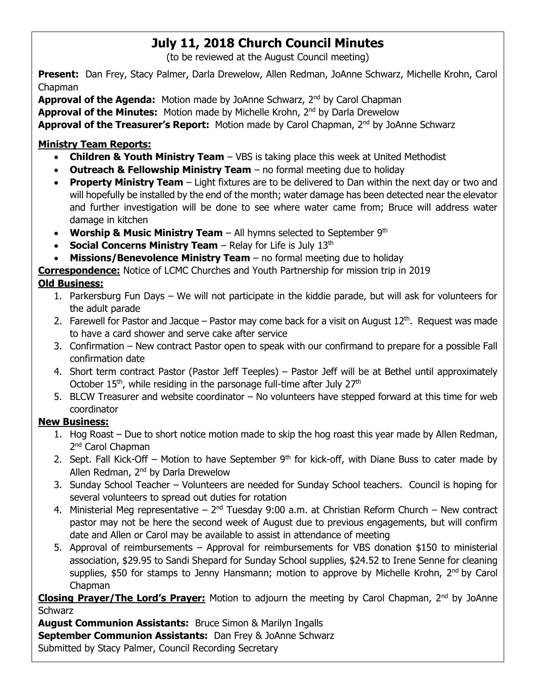# **July 11, 2018 Church Council Minutes**

(to be reviewed at the August Council meeting)

**Present:** Dan Frey, Stacy Palmer, Darla Drewelow, Allen Redman, JoAnne Schwarz, Michelle Krohn, Carol Chapman

**Approval of the Agenda:** Motion made by JoAnne Schwarz, 2<sup>nd</sup> by Carol Chapman **Approval of the Minutes:** Motion made by Michelle Krohn, 2nd by Darla Drewelow **Approval of the Treasurer's Report:** Motion made by Carol Chapman, 2<sup>nd</sup> by JoAnne Schwarz

#### **Ministry Team Reports:**

- **Children & Youth Ministry Team** VBS is taking place this week at United Methodist
- **Outreach & Fellowship Ministry Team** no formal meeting due to holiday
- **Property Ministry Team** Light fixtures are to be delivered to Dan within the next day or two and will hopefully be installed by the end of the month; water damage has been detected near the elevator and further investigation will be done to see where water came from; Bruce will address water damage in kitchen
- **Worship & Music Ministry Team** All hymns selected to September 9<sup>th</sup>
- **Social Concerns Ministry Team** Relay for Life is July 13<sup>th</sup>
- **Missions/Benevolence Ministry Team** no formal meeting due to holiday

**Correspondence:** Notice of LCMC Churches and Youth Partnership for mission trip in 2019

#### **Old Business:**

- 1. Parkersburg Fun Days We will not participate in the kiddie parade, but will ask for volunteers for the adult parade
- 2. Farewell for Pastor and Jacque Pastor may come back for a visit on August  $12<sup>th</sup>$ . Request was made to have a card shower and serve cake after service
- 3. Confirmation New contract Pastor open to speak with our confirmand to prepare for a possible Fall confirmation date
- 4. Short term contract Pastor (Pastor Jeff Teeples) Pastor Jeff will be at Bethel until approximately October  $15<sup>th</sup>$ , while residing in the parsonage full-time after July  $27<sup>th</sup>$
- 5. BLCW Treasurer and website coordinator No volunteers have stepped forward at this time for web coordinator

#### **New Business:**

- 1. Hog Roast Due to short notice motion made to skip the hog roast this year made by Allen Redman, 2<sup>nd</sup> Carol Chapman
- 2. Sept. Fall Kick-Off Motion to have September  $9<sup>th</sup>$  for kick-off, with Diane Buss to cater made by Allen Redman, 2nd by Darla Drewelow
- 3. Sunday School Teacher Volunteers are needed for Sunday School teachers. Council is hoping for several volunteers to spread out duties for rotation
- 4. Ministerial Meg representative  $2^{nd}$  Tuesday 9:00 a.m. at Christian Reform Church New contract pastor may not be here the second week of August due to previous engagements, but will confirm date and Allen or Carol may be available to assist in attendance of meeting
- 5. Approval of reimbursements Approval for reimbursements for VBS donation \$150 to ministerial association, \$29.95 to Sandi Shepard for Sunday School supplies, \$24.52 to Irene Senne for cleaning supplies, \$50 for stamps to Jenny Hansmann; motion to approve by Michelle Krohn, 2<sup>nd</sup> by Carol Chapman

**Closing Prayer/The Lord's Prayer:** Motion to adjourn the meeting by Carol Chapman, 2<sup>nd</sup> by JoAnne **Schwarz** 

**August Communion Assistants:** Bruce Simon & Marilyn Ingalls **September Communion Assistants:** Dan Frey & JoAnne Schwarz Submitted by Stacy Palmer, Council Recording Secretary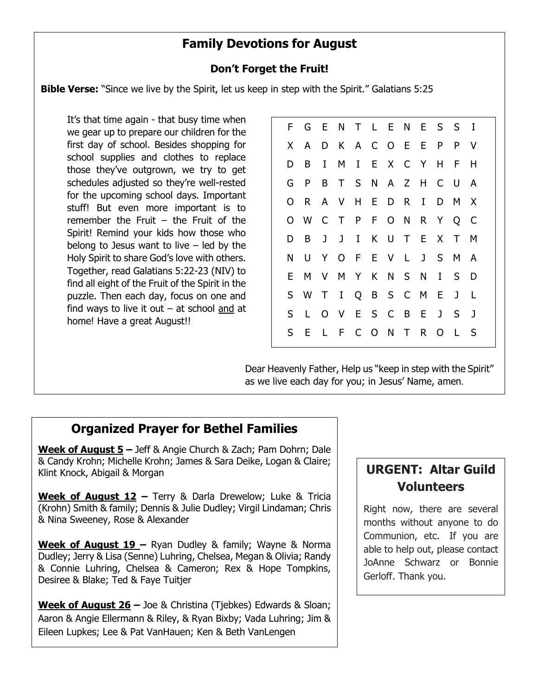## **Family Devotions for August**

#### **Don't Forget the Fruit!**

**Bible Verse:** "Since we live by the Spirit, let us keep in step with the Spirit." Galatians 5:25

It's that time again - that busy time when we gear up to prepare our children for the first day of school. Besides shopping for school supplies and clothes to replace those they've outgrown, we try to get schedules adjusted so they're well-rested for the upcoming school days. Important stuff! But even more important is to remember the Fruit  $-$  the Fruit of the Spirit! Remind your kids how those who belong to Jesus want to live  $-$  led by the Holy Spirit to share God's love with others. Together, read Galatians 5:22-23 (NIV) to find all eight of the Fruit of the Spirit in the puzzle. Then each day, focus on one and find ways to live it out  $-$  at school and at home! Have a great August!!

F G E N T L E N E S S I X A D K A C O E E P P V D B I M I E X C Y H F H G P B T S N A Z H C U A O R A V H E D R I D M X O W C T P F O N R Y Q C D B J J I K U T E X T M N U Y O F E V L J S M A E M V M Y K N S N I S D S W T I Q B S C M E J L S L O V E S C B E J S J S E L F C O N T R O L S

Dear Heavenly Father, Help us "keep in step with the Spirit" as we live each day for you; in Jesus' Name, amen.

#### **Organized Prayer for Bethel Families**

**Week of August 5 –** Jeff & Angie Church & Zach; Pam Dohrn; Dale & Candy Krohn; Michelle Krohn; James & Sara Deike, Logan & Claire; Klint Knock, Abigail & Morgan

**Week of August 12 –** Terry & Darla Drewelow; Luke & Tricia (Krohn) Smith & family; Dennis & Julie Dudley; Virgil Lindaman; Chris & Nina Sweeney, Rose & Alexander

**Week of August 19 –** Ryan Dudley & family; Wayne & Norma Dudley; Jerry & Lisa (Senne) Luhring, Chelsea, Megan & Olivia; Randy & Connie Luhring, Chelsea & Cameron; Rex & Hope Tompkins, Desiree & Blake; Ted & Faye Tuitjer

**Week of August 26 –** Joe & Christina (Tjebkes) Edwards & Sloan; Aaron & Angie Ellermann & Riley, & Ryan Bixby; Vada Luhring; Jim & Eileen Lupkes; Lee & Pat VanHauen; Ken & Beth VanLengen

# **URGENT: Altar Guild Volunteers**

Right now, there are several months without anyone to do Communion, etc. If you are able to help out, please contact JoAnne Schwarz or Bonnie Gerloff. Thank you.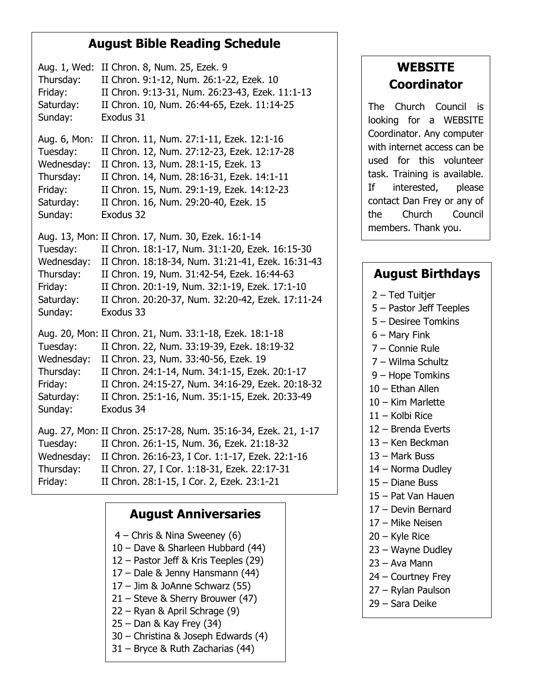### **August Bible Reading Schedule**

Aug. 1, Wed: II Chron. 8, Num. 25, Ezek. 9 Thursday: II Chron. 9:1-12, Num. 26:1-22, Ezek. 10 Friday: II Chron. 9:13-31, Num. 26:23-43, Ezek. 11:1-13 Saturday: II Chron. 10, Num. 26:44-65, Ezek. 11:14-25 Sunday: Exodus 31

Aug. 6, Mon: II Chron. 11, Num. 27:1-11, Ezek. 12:1-16 Tuesday: II Chron. 12, Num. 27:12-23, Ezek. 12:17-28 Wednesday: II Chron. 13, Num. 28:1-15, Ezek. 13 Thursday: II Chron. 14, Num. 28:16-31, Ezek. 14:1-11 Friday: II Chron. 15, Num. 29:1-19, Ezek. 14:12-23 Saturday: II Chron. 16, Num. 29:20-40, Ezek. 15 Sunday: Exodus 32

Aug. 13, Mon: II Chron. 17, Num. 30, Ezek. 16:1-14 Tuesday: II Chron. 18:1-17, Num. 31:1-20, Ezek. 16:15-30 Wednesday: II Chron. 18:18-34, Num. 31:21-41, Ezek. 16:31-43 Thursday: II Chron. 19, Num. 31:42-54, Ezek. 16:44-63 Friday: II Chron. 20:1-19, Num. 32:1-19, Ezek. 17:1-10 Saturday: II Chron. 20:20-37, Num. 32:20-42, Ezek. 17:11-24 Sunday: Exodus 33

Aug. 20, Mon: II Chron. 21, Num. 33:1-18, Ezek. 18:1-18 Tuesday: II Chron. 22, Num. 33:19-39, Ezek. 18:19-32 Wednesday: II Chron. 23, Num. 33:40-56, Ezek. 19 Thursday: II Chron. 24:1-14, Num. 34:1-15, Ezek. 20:1-17 Friday: II Chron. 24:15-27, Num. 34:16-29, Ezek. 20:18-32 Saturday: II Chron. 25:1-16, Num. 35:1-15, Ezek. 20:33-49 Sunday: Exodus 34

Aug. 27, Mon: II Chron. 25:17-28, Num. 35:16-34, Ezek. 21, 1-17 Tuesday: II Chron. 26:1-15, Num. 36, Ezek. 21:18-32 Wednesday: II Chron. 26:16-23, I Cor. 1:1-17, Ezek. 22:1-16 Thursday: II Chron. 27, I Cor. 1:18-31, Ezek. 22:17-31 Friday: II Chron. 28:1-15, I Cor. 2, Ezek. 23:1-21

## **August Anniversaries**

– Chris & Nina Sweeney (6) – Dave & Sharleen Hubbard (44) – Pastor Jeff & Kris Teeples (29) – Dale & Jenny Hansmann (44) – Jim & JoAnne Schwarz (55) – Steve & Sherry Brouwer (47) – Ryan & April Schrage (9) – Dan & Kay Frey (34) – Christina & Joseph Edwards (4) – Bryce & Ruth Zacharias (44)

# **WEBSITE Coordinator**

The Church Council is looking for a WEBSITE Coordinator. Any computer with internet access can be used for this volunteer task. Training is available. If interested, please contact Dan Frey or any of the Church Council members. Thank you.

## **August Birthdays**

2 – Ted Tuitjer

- 5 Pastor Jeff Teeples
- 5 Desiree Tomkins
- 6 Mary Fink
- 7 Connie Rule
- 7 Wilma Schultz
- 9 Hope Tomkins
- 10 Ethan Allen
- 10 Kim Marlette
- 11 Kolbi Rice
- 12 Brenda Everts
- 13 Ken Beckman
- 13 Mark Buss
- 14 Norma Dudley
- 15 Diane Buss
- 15 Pat Van Hauen
- 17 Devin Bernard
- 17 Mike Neisen
- 20 Kyle Rice
- 23 Wayne Dudley
- 23 Ava Mann
- 24 Courtney Frey
- 27 Rylan Paulson 29 – Sara Deike
	-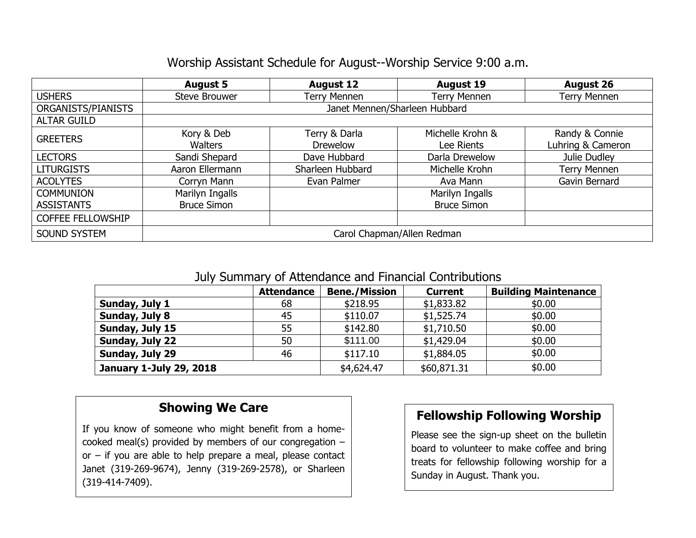## Worship Assistant Schedule for August--Worship Service 9:00 a.m.

|                          | <b>August 5</b>               | <b>August 12</b>    | <b>August 19</b>    | <b>August 26</b>    |  |  |  |
|--------------------------|-------------------------------|---------------------|---------------------|---------------------|--|--|--|
| <b>USHERS</b>            | <b>Steve Brouwer</b>          | <b>Terry Mennen</b> | <b>Terry Mennen</b> | <b>Terry Mennen</b> |  |  |  |
| ORGANISTS/PIANISTS       | Janet Mennen/Sharleen Hubbard |                     |                     |                     |  |  |  |
| <b>ALTAR GUILD</b>       |                               |                     |                     |                     |  |  |  |
| <b>GREETERS</b>          | Kory & Deb                    | Terry & Darla       | Michelle Krohn &    | Randy & Connie      |  |  |  |
|                          | <b>Walters</b>                | <b>Drewelow</b>     | Lee Rients          | Luhring & Cameron   |  |  |  |
| <b>LECTORS</b>           | Sandi Shepard                 | Dave Hubbard        | Darla Drewelow      | Julie Dudley        |  |  |  |
| <b>LITURGISTS</b>        | Aaron Ellermann               | Sharleen Hubbard    | Michelle Krohn      | <b>Terry Mennen</b> |  |  |  |
| <b>ACOLYTES</b>          | Corryn Mann                   | Evan Palmer         | Ava Mann            | Gavin Bernard       |  |  |  |
| <b>COMMUNION</b>         | Marilyn Ingalls               |                     | Marilyn Ingalls     |                     |  |  |  |
| <b>ASSISTANTS</b>        | <b>Bruce Simon</b>            |                     | <b>Bruce Simon</b>  |                     |  |  |  |
| <b>COFFEE FELLOWSHIP</b> |                               |                     |                     |                     |  |  |  |
| <b>SOUND SYSTEM</b>      | Carol Chapman/Allen Redman    |                     |                     |                     |  |  |  |

#### July Summary of Attendance and Financial Contributions

|                                | <b>Attendance</b> | <b>Bene./Mission</b> | <b>Current</b> | <b>Building Maintenance</b> |  |  |  |  |
|--------------------------------|-------------------|----------------------|----------------|-----------------------------|--|--|--|--|
| Sunday, July 1                 | 68                | \$218.95             | \$1,833.82     | \$0.00                      |  |  |  |  |
| Sunday, July 8                 | 45                | \$110.07             | \$1,525.74     | \$0.00                      |  |  |  |  |
| Sunday, July 15                | 55                | \$142.80             | \$1,710.50     | \$0.00                      |  |  |  |  |
| Sunday, July 22                | 50                | \$111.00             | \$1,429.04     | \$0.00                      |  |  |  |  |
| Sunday, July 29                | 46                | \$117.10             | \$1,884.05     | \$0.00                      |  |  |  |  |
| <b>January 1-July 29, 2018</b> |                   | \$4,624.47           | \$60,871.31    | \$0.00                      |  |  |  |  |

## **Showing We Care**

If you know of someone who might benefit from a homecooked meal(s) provided by members of our congregation – or – if you are able to help prepare a meal, please contact Janet (319-269-9674), Jenny (319-269-2578), or Sharleen (319-414-7409).

## **Fellowship Following Worship**

Please see the sign-up sheet on the bulletin board to volunteer to make coffee and bring treats for fellowship following worship for a Sunday in August. Thank you.